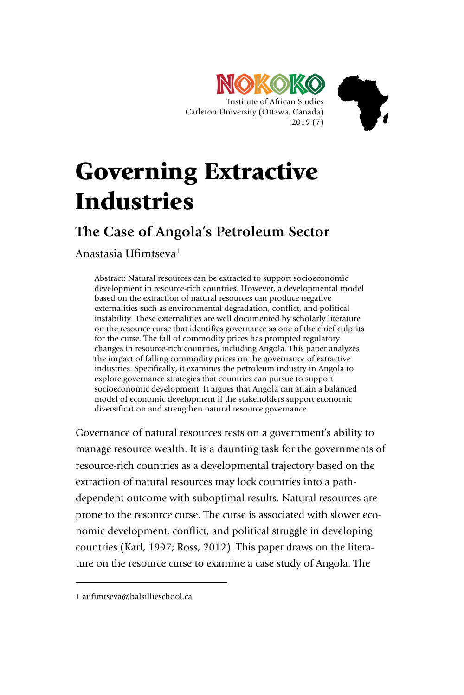



# Governing Extractive Industries

## **The Case of Angola's Petroleum Sector**

Anastasia Ufimtseva1

Abstract: Natural resources can be extracted to support socioeconomic development in resource-rich countries. However, a developmental model based on the extraction of natural resources can produce negative externalities such as environmental degradation, conflict, and political instability. These externalities are well documented by scholarly literature on the resource curse that identifies governance as one of the chief culprits for the curse. The fall of commodity prices has prompted regulatory changes in resource-rich countries, including Angola. This paper analyzes the impact of falling commodity prices on the governance of extractive industries. Specifically, it examines the petroleum industry in Angola to explore governance strategies that countries can pursue to support socioeconomic development. It argues that Angola can attain a balanced model of economic development if the stakeholders support economic diversification and strengthen natural resource governance.

Governance of natural resources rests on a government's ability to manage resource wealth. It is a daunting task for the governments of resource-rich countries as a developmental trajectory based on the extraction of natural resources may lock countries into a pathdependent outcome with suboptimal results. Natural resources are prone to the resource curse. The curse is associated with slower economic development, conflict, and political struggle in developing countries (Karl, 1997; Ross, 2012). This paper draws on the literature on the resource curse to examine a case study of Angola. The

-

<sup>1</sup> aufimtseva@balsillieschool.ca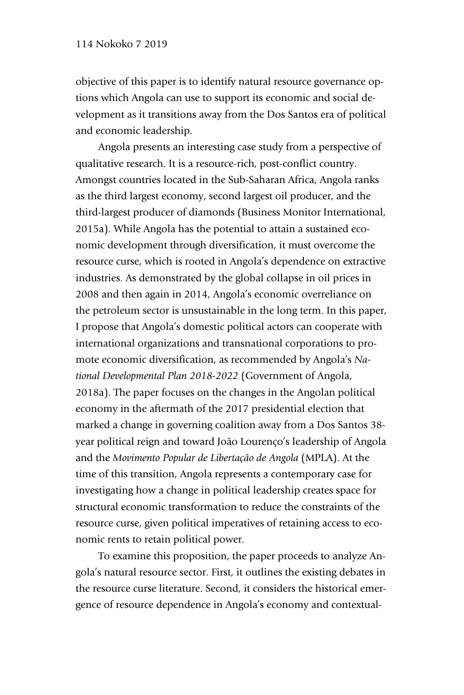objective of this paper is to identify natural resource governance options which Angola can use to support its economic and social development as it transitions away from the Dos Santos era of political and economic leadership.

Angola presents an interesting case study from a perspective of qualitative research. It is a resource-rich, post-conflict country. Amongst countries located in the Sub-Saharan Africa, Angola ranks as the third largest economy, second largest oil producer, and the third-largest producer of diamonds (Business Monitor International, 2015a). While Angola has the potential to attain a sustained economic development through diversification, it must overcome the resource curse, which is rooted in Angola's dependence on extractive industries. As demonstrated by the global collapse in oil prices in 2008 and then again in 2014, Angola's economic overreliance on the petroleum sector is unsustainable in the long term. In this paper, I propose that Angola's domestic political actors can cooperate with international organizations and transnational corporations to promote economic diversification, as recommended by Angola's *National Developmental Plan 2018 -2022* (Government of Angola, 2018a). The paper focuses on the changes in the Angolan political economy in the aftermath of the 2017 presidential election that marked a change in governing coalition away from a Dos Santos 38 year political reign and toward João Lourenço's leadership of Angola and the *Movimento Popular de Libertação de Angola* (MPLA). At the time of this transition, Angola represents a contemporary case for investigating how a change in political leadership creates space for structural economic transformation to reduce the constraints of the resource curse, given political imperatives of retaining access to economic rents to retain political power.

To examine this proposition, the paper proceeds to analyze Angola's natural resource sector. First, it outlines the existing debates in the resource curse literature. Second, it considers the historical emergence of resource dependence in Angola's economy and contextual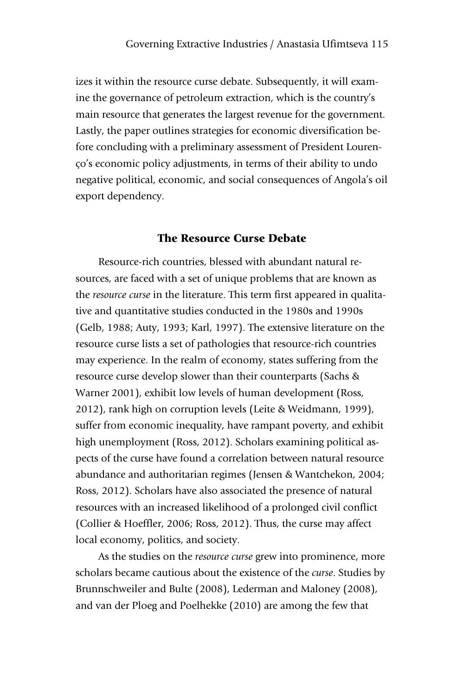izes it within the resource curse debate. Subsequently, it will examine the governance of petroleum extraction, which is the country's main resource that generates the largest revenue for the government. Lastly, the paper outlines strategies for economic diversification before concluding with a preliminary assessment of President Lourenço's economic policy adjustments, in terms of their ability to undo negative political, economic, and social consequences of Angola's oil export dependency.

## The Resource Curse Debate

Resource-rich countries, blessed with abundant natural resources, are faced with a set of unique problems that are known as the *resource curse* in the literature. This term first appeared in qualitative and quantitative studies conducted in the 1980s and 1990s (Gelb, 1988; Auty, 1993; Karl, 1997). The extensive literature on the resource curse lists a set of pathologies that resource-rich countries may experience. In the realm of economy, states suffering from the resource curse develop slower than their counterparts (Sachs & Warner 2001), exhibit low levels of human development (Ross, 2012), rank high on corruption levels (Leite & Weidmann, 1999), suffer from economic inequality, have rampant poverty, and exhibit high unemployment (Ross, 2012). Scholars examining political aspects of the curse have found a correlation between natural resource abundance and authoritarian regimes (Jensen & Wantchekon, 2004; Ross, 2012). Scholars have also associated the presence of natural resources with an increased likelihood of a prolonged civil conflict (Collier & Hoeffler, 2006; Ross, 2012). Thus, the curse may affect local economy, politics, and society.

As the studies on the *resource curse* grew into prominence, more scholars became cautious about the existence of the *curse*. Studies by Brunnschweiler and Bulte (2008), Lederman and Maloney (2008), and van der Ploeg and Poelhekke (2010) are among the few that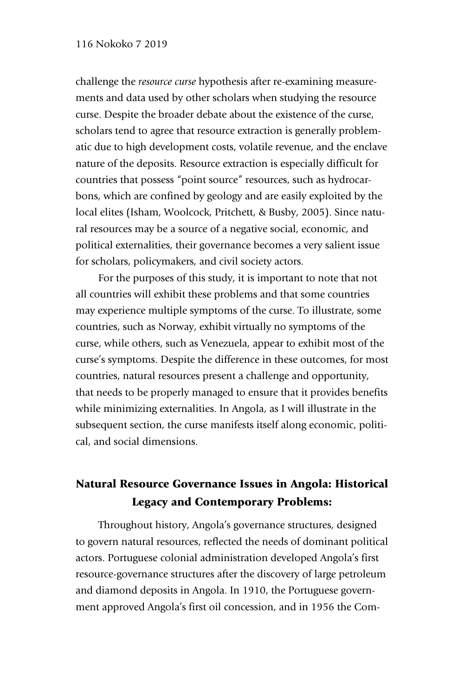#### 116 Nokoko 7 2019

challenge the *resource curse* hypothesis after re-examining measurements and data used by other scholars when studying the resource curse. Despite the broader debate about the existence of the curse, scholars tend to agree that resource extraction is generally problematic due to high development costs, volatile revenue, and the enclave nature of the deposits. Resource extraction is especially difficult for countries that possess "point source" resources, such as hydrocarbons, which are confined by geology and are easily exploited by the local elites (Isham, Woolcock, Pritchett, & Busby, 2005). Since natural resources may be a source of a negative social, economic, and political externalities, their governance becomes a very salient issue for scholars, policymakers, and civil society actors.

For the purposes of this study, it is important to note that not all countries will exhibit these problems and that some countries may experience multiple symptoms of the curse. To illustrate, some countries, such as Norway, exhibit virtually no symptoms of the curse, while others, such as Venezuela, appear to exhibit most of the curse's symptoms. Despite the difference in these outcomes, for most countries, natural resources present a challenge and opportunity, that needs to be properly managed to ensure that it provides benefits while minimizing externalities. In Angola, as I will illustrate in the subsequent section, the curse manifests itself along economic, political, and social dimensions.

## Natural Resource Governance Issues in Angola: Historical Legacy and Contemporary Problems:

Throughout history, Angola's governance structures, designed to govern natural resources, reflected the needs of dominant political actors. Portuguese colonial administration developed Angola's first resource-governance structures after the discovery of large petroleum and diamond deposits in Angola. In 1910, the Portuguese government approved Angola's first oil concession, and in 1956 the Com-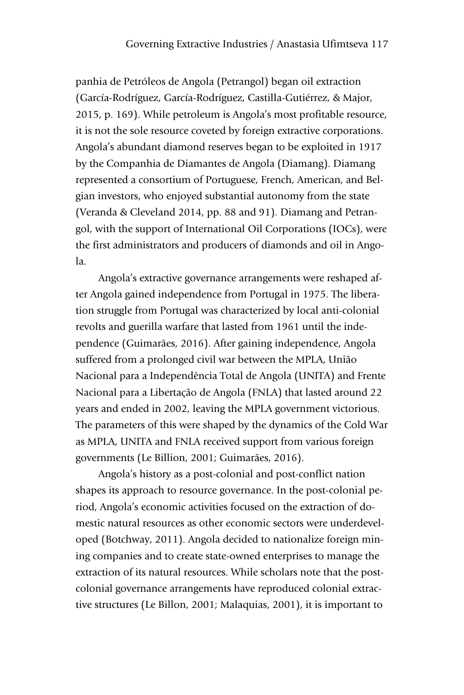panhia de Petróleos de Angola (Petrangol) began oil extraction (García-Rodríguez, García-Rodríguez, Castilla-Gutiérrez, & Major, 2015, p. 169). While petroleum is Angola's most profitable resource, it is not the sole resource coveted by foreign extractive corporations. Angola's abundant diamond reserves began to be exploited in 1917 by the Companhia de Diamantes de Angola (Diamang). Diamang represented a consortium of Portuguese, French, American, and Belgian investors, who enjoyed substantial autonomy from the state (Veranda & Cleveland 2014, pp. 88 and 91). Diamang and Petrangol, with the support of International Oil Corporations (IOCs), were the first administrators and producers of diamonds and oil in Angola.

Angola's extractive governance arrangements were reshaped after Angola gained independence from Portugal in 1975. The liberation struggle from Portugal was characterized by local anti-colonial revolts and guerilla warfare that lasted from 1961 until the independence (Guimarães, 2016). After gaining independence, Angola suffered from a prolonged civil war between the MPLA, União Nacional para a Independência Total de Angola (UNITA) and Frente Nacional para a Libertação de Angola (FNLA) that lasted around 22 years and ended in 2002, leaving the MPLA government victorious. The parameters of this were shaped by the dynamics of the Cold War as MPLA, UNITA and FNLA received support from various foreign governments (Le Billion, 2001; Guimarães, 2016).

Angola's history as a post-colonial and post-conflict nation shapes its approach to resource governance. In the post-colonial period, Angola's economic activities focused on the extraction of domestic natural resources as other economic sectors were underdeveloped (Botchway, 2011). Angola decided to nationalize foreign mining companies and to create state-owned enterprises to manage the extraction of its natural resources. While scholars note that the postcolonial governance arrangements have reproduced colonial extractive structures (Le Billon, 2001; Malaquias, 2001), it is important to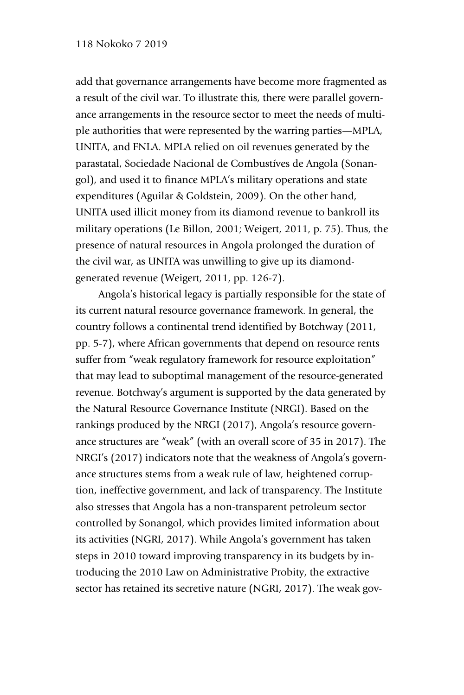add that governance arrangements have become more fragmented as a result of the civil war. To illustrate this, there were parallel governance arrangements in the resource sector to meet the needs of multiple authorities that were represented by the warring parties—MPLA, UNITA, and FNLA. MPLA relied on oil revenues generated by the parastatal, Sociedade Nacional de Combustíves de Angola (Sonangol), and used it to finance MPLA's military operations and state expenditures (Aguilar & Goldstein, 2009). On the other hand, UNITA used illicit money from its diamond revenue to bankroll its military operations (Le Billon, 2001; Weigert, 2011, p. 75). Thus, the presence of natural resources in Angola prolonged the duration of the civil war, as UNITA was unwilling to give up its diamondgenerated revenue (Weigert, 2011, pp. 126-7).

Angola's historical legacy is partially responsible for the state of its current natural resource governance framework. In general, the country follows a continental trend identified by Botchway (2011, pp. 5-7), where African governments that depend on resource rents suffer from "weak regulatory framework for resource exploitation" that may lead to suboptimal management of the resource-generated revenue. Botchway's argument is supported by the data generated by the Natural Resource Governance Institute (NRGI). Based on the rankings produced by the NRGI (2017), Angola's resource governance structures are "weak" (with an overall score of 35 in 2017). The NRGI's (2017) indicators note that the weakness of Angola's governance structures stems from a weak rule of law, heightened corruption, ineffective government, and lack of transparency. The Institute also stresses that Angola has a non-transparent petroleum sector controlled by Sonangol, which provides limited information about its activities (NGRI, 2017). While Angola's government has taken steps in 2010 toward improving transparency in its budgets by introducing the 2010 Law on Administrative Probity, the extractive sector has retained its secretive nature (NGRI, 2017). The weak gov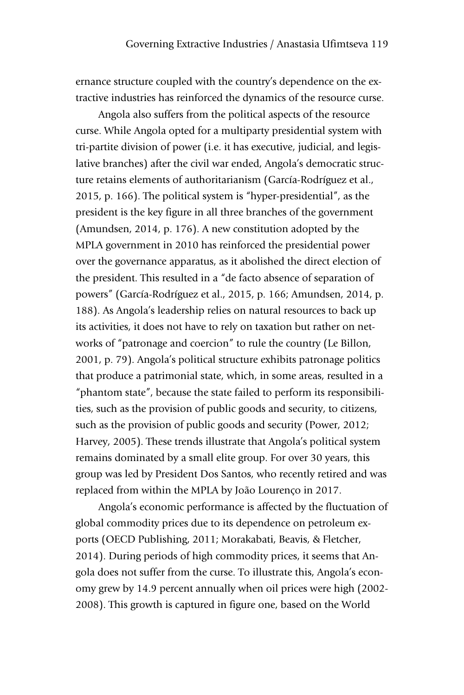ernance structure coupled with the country's dependence on the extractive industries has reinforced the dynamics of the resource curse.

Angola also suffers from the political aspects of the resource curse. While Angola opted for a multiparty presidential system with tri-partite division of power (i.e. it has executive, judicial, and legislative branches) after the civil war ended, Angola's democratic structure retains elements of authoritarianism (García-Rodríguez et al., 2015, p. 166). The political system is "hyper-presidential", as the president is the key figure in all three branches of the government (Amundsen, 2014, p. 176). A new constitution adopted by the MPLA government in 2010 has reinforced the presidential power over the governance apparatus, as it abolished the direct election of the president. This resulted in a "de facto absence of separation of powers" (García-Rodríguez et al., 2015, p. 166; Amundsen, 2014, p. 188). As Angola's leadership relies on natural resources to back up its activities, it does not have to rely on taxation but rather on networks of "patronage and coercion" to rule the country (Le Billon, 2001, p. 79). Angola's political structure exhibits patronage politics that produce a patrimonial state, which, in some areas, resulted in a "phantom state", because the state failed to perform its responsibilities, such as the provision of public goods and security, to citizens, such as the provision of public goods and security (Power, 2012; Harvey, 2005). These trends illustrate that Angola's political system remains dominated by a small elite group. For over 30 years, this group was led by President Dos Santos, who recently retired and was replaced from within the MPLA by João Lourenço in 2017.

Angola's economic performance is affected by the fluctuation of global commodity prices due to its dependence on petroleum exports (OECD Publishing, 2011; Morakabati, Beavis, & Fletcher, 2014). During periods of high commodity prices, it seems that Angola does not suffer from the curse. To illustrate this, Angola's economy grew by 14.9 percent annually when oil prices were high (2002- 2008). This growth is captured in figure one, based on the World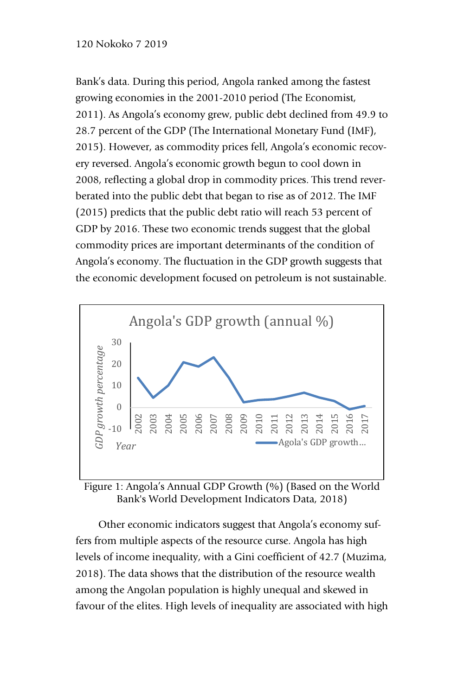#### 120 Nokoko 7 2019

Bank's data. During this period, Angola ranked among the fastest growing economies in the 2001-2010 period (The Economist, 2011). As Angola's economy grew, public debt declined from 49.9 to 28.7 percent of the GDP (The International Monetary Fund (IMF), 2015). However, as commodity prices fell, Angola's economic recovery reversed. Angola's economic growth begun to cool down in 2008, reflecting a global drop in commodity prices. This trend reverberated into the public debt that began to rise as of 2012. The IMF (2015) predicts that the public debt ratio will reach 53 percent of GDP by 2016. These two economic trends suggest that the global commodity prices are important determinants of the condition of Angola's economy. The fluctuation in the GDP growth suggests that the economic development focused on petroleum is not sustainable.



Figure 1: Angola's Annual GDP Growth (%) (Based on the World Bank's World Development Indicators Data, 2018)

Other economic indicators suggest that Angola's economy suffers from multiple aspects of the resource curse. Angola has high levels of income inequality, with a Gini coefficient of 42.7 (Muzima, 2018). The data shows that the distribution of the resource wealth among the Angolan population is highly unequal and skewed in favour of the elites. High levels of inequality are associated with high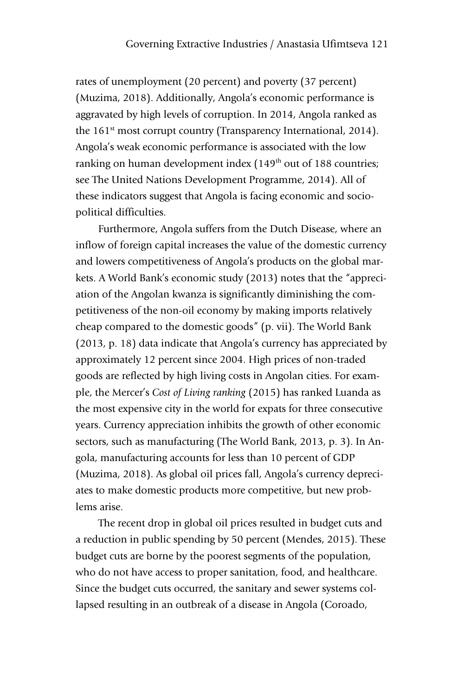rates of unemployment (20 percent) and poverty (37 percent) (Muzima, 2018). Additionally, Angola's economic performance is aggravated by high levels of corruption. In 2014, Angola ranked as the 161<sup>st</sup> most corrupt country (Transparency International, 2014). Angola's weak economic performance is associated with the low ranking on human development index (149<sup>th</sup> out of 188 countries; see The United Nations Development Programme, 2014). All of these indicators suggest that Angola is facing economic and sociopolitical difficulties.

Furthermore, Angola suffers from the Dutch Disease, where an inflow of foreign capital increases the value of the domestic currency and lowers competitiveness of Angola's products on the global markets. A World Bank's economic study (2013) notes that the "appreciation of the Angolan kwanza is significantly diminishing the competitiveness of the non-oil economy by making imports relatively cheap compared to the domestic goods" (p. vii). The World Bank (2013, p. 18) data indicate that Angola's currency has appreciated by approximately 12 percent since 2004. High prices of non-traded goods are reflected by high living costs in Angolan cities. For example, the Mercer's *Cost of Living ranking* (2015) has ranked Luanda as the most expensive city in the world for expats for three consecutive years. Currency appreciation inhibits the growth of other economic sectors, such as manufacturing (The World Bank, 2013, p. 3). In Angola, manufacturing accounts for less than 10 percent of GDP (Muzima, 2018). As global oil prices fall, Angola's currency depreciates to make domestic products more competitive, but new problems arise.

The recent drop in global oil prices resulted in budget cuts and a reduction in public spending by 50 percent (Mendes, 2015). These budget cuts are borne by the poorest segments of the population, who do not have access to proper sanitation, food, and healthcare. Since the budget cuts occurred, the sanitary and sewer systems collapsed resulting in an outbreak of a disease in Angola (Coroado,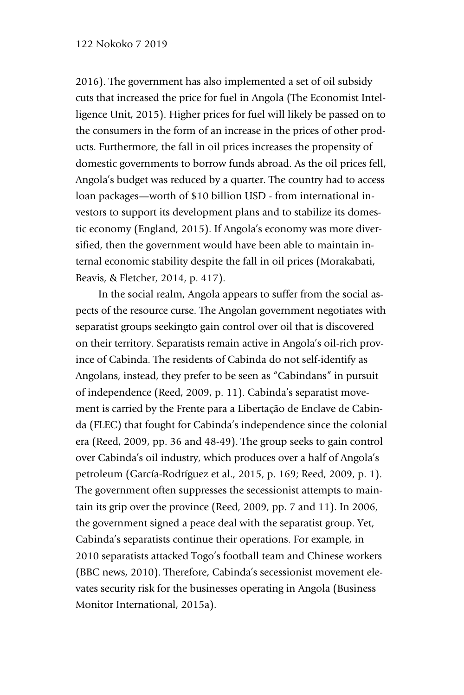2016). The government has also implemented a set of oil subsidy cuts that increased the price for fuel in Angola (The Economist Intelligence Unit, 2015). Higher prices for fuel will likely be passed on to the consumers in the form of an increase in the prices of other products. Furthermore, the fall in oil prices increases the propensity of domestic governments to borrow funds abroad. As the oil prices fell, Angola's budget was reduced by a quarter. The country had to access loan packages—worth of \$10 billion USD - from international investors to support its development plans and to stabilize its domestic economy (England, 2015). If Angola's economy was more diversified, then the government would have been able to maintain internal economic stability despite the fall in oil prices (Morakabati, Beavis, & Fletcher, 2014, p. 417).

In the social realm, Angola appears to suffer from the social aspects of the resource curse. The Angolan government negotiates with separatist groups seekingto gain control over oil that is discovered on their territory. Separatists remain active in Angola's oil-rich province of Cabinda. The residents of Cabinda do not self-identify as Angolans, instead, they prefer to be seen as "Cabindans" in pursuit of independence (Reed, 2009, p. 11). Cabinda's separatist movement is carried by the Frente para a Libertação de Enclave de Cabinda (FLEC) that fought for Cabinda's independence since the colonial era (Reed, 2009, pp. 36 and 48-49). The group seeks to gain control over Cabinda's oil industry, which produces over a half of Angola's petroleum (García-Rodríguez et al., 2015, p. 169; Reed, 2009, p. 1). The government often suppresses the secessionist attempts to maintain its grip over the province (Reed, 2009, pp. 7 and 11). In 2006, the government signed a peace deal with the separatist group. Yet, Cabinda's separatists continue their operations. For example, in 2010 separatists attacked Togo's football team and Chinese workers (BBC news, 2010). Therefore, Cabinda's secessionist movement elevates security risk for the businesses operating in Angola (Business Monitor International, 2015a).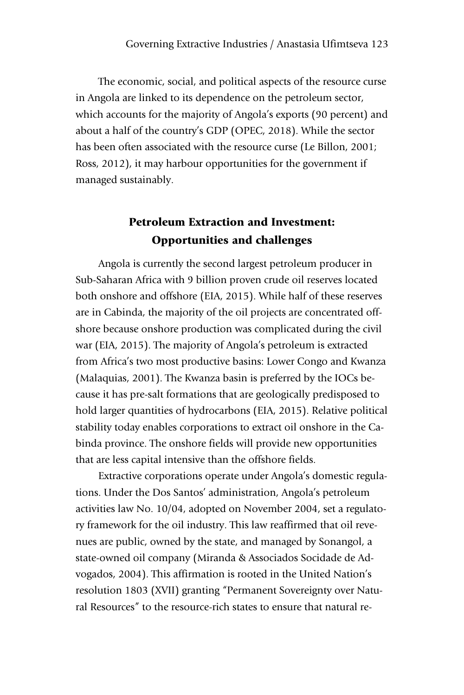The economic, social, and political aspects of the resource curse in Angola are linked to its dependence on the petroleum sector, which accounts for the majority of Angola's exports (90 percent) and about a half of the country's GDP (OPEC, 2018). While the sector has been often associated with the resource curse (Le Billon, 2001; Ross, 2012), it may harbour opportunities for the government if managed sustainably.

## Petroleum Extraction and Investment: Opportunities and challenges

Angola is currently the second largest petroleum producer in Sub-Saharan Africa with 9 billion proven crude oil reserves located both onshore and offshore (EIA, 2015). While half of these reserves are in Cabinda, the majority of the oil projects are concentrated offshore because onshore production was complicated during the civil war (EIA, 2015). The majority of Angola's petroleum is extracted from Africa's two most productive basins: Lower Congo and Kwanza (Malaquias, 2001). The Kwanza basin is preferred by the IOCs because it has pre-salt formations that are geologically predisposed to hold larger quantities of hydrocarbons (EIA, 2015). Relative political stability today enables corporations to extract oil onshore in the Cabinda province. The onshore fields will provide new opportunities that are less capital intensive than the offshore fields.

Extractive corporations operate under Angola's domestic regulations. Under the Dos Santos' administration, Angola's petroleum activities law No. 10/04, adopted on November 2004, set a regulatory framework for the oil industry. This law reaffirmed that oil revenues are public, owned by the state, and managed by Sonangol, a state-owned oil company (Miranda & Associados Socidade de Advogados, 2004). This affirmation is rooted in the United Nation's resolution 1803 (XVII) granting "Permanent Sovereignty over Natural Resources" to the resource-rich states to ensure that natural re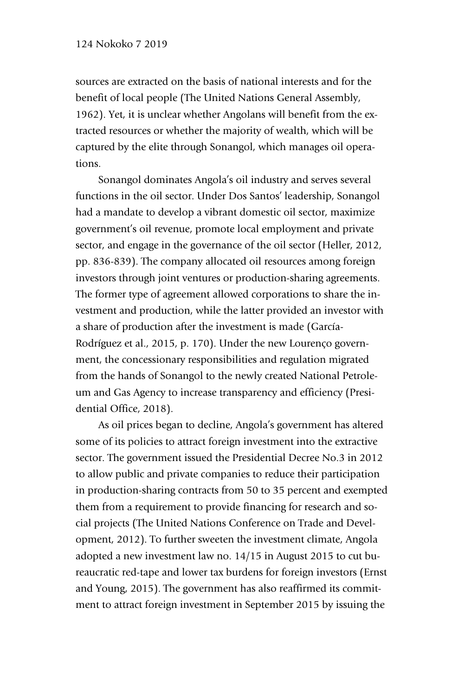sources are extracted on the basis of national interests and for the benefit of local people (The United Nations General Assembly, 1962). Yet, it is unclear whether Angolans will benefit from the extracted resources or whether the majority of wealth, which will be captured by the elite through Sonangol, which manages oil operations.

Sonangol dominates Angola's oil industry and serves several functions in the oil sector. Under Dos Santos' leadership, Sonangol had a mandate to develop a vibrant domestic oil sector, maximize government's oil revenue, promote local employment and private sector, and engage in the governance of the oil sector (Heller, 2012, pp. 836-839). The company allocated oil resources among foreign investors through joint ventures or production-sharing agreements. The former type of agreement allowed corporations to share the investment and production, while the latter provided an investor with a share of production after the investment is made (García-Rodríguez et al., 2015, p. 170). Under the new Lourenço government, the concessionary responsibilities and regulation migrated from the hands of Sonangol to the newly created National Petroleum and Gas Agency to increase transparency and efficiency (Presidential Office, 2018).

As oil prices began to decline, Angola's government has altered some of its policies to attract foreign investment into the extractive sector. The government issued the Presidential Decree No.3 in 2012 to allow public and private companies to reduce their participation in production-sharing contracts from 50 to 35 percent and exempted them from a requirement to provide financing for research and social projects (The United Nations Conference on Trade and Development, 2012). To further sweeten the investment climate, Angola adopted a new investment law no. 14/15 in August 2015 to cut bureaucratic red-tape and lower tax burdens for foreign investors (Ernst and Young, 2015). The government has also reaffirmed its commitment to attract foreign investment in September 2015 by issuing the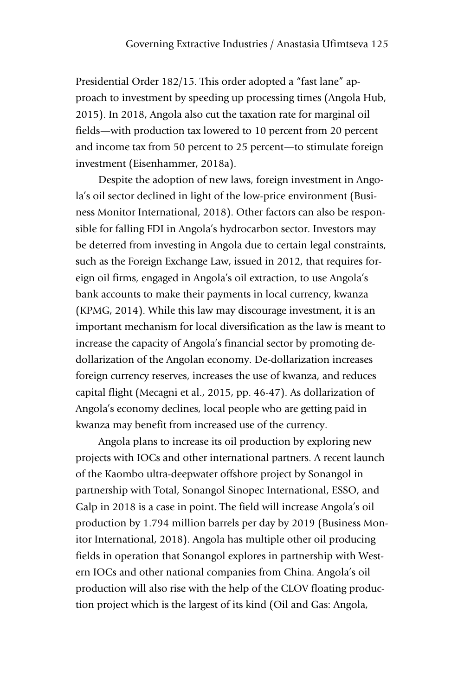Presidential Order 182/15. This order adopted a "fast lane" approach to investment by speeding up processing times (Angola Hub, 2015). In 2018, Angola also cut the taxation rate for marginal oil fields—with production tax lowered to 10 percent from 20 percent and income tax from 50 percent to 25 percent—to stimulate foreign investment (Eisenhammer, 2018a).

Despite the adoption of new laws, foreign investment in Angola's oil sector declined in light of the low-price environment (Business Monitor International, 2018). Other factors can also be responsible for falling FDI in Angola's hydrocarbon sector. Investors may be deterred from investing in Angola due to certain legal constraints, such as the Foreign Exchange Law, issued in 2012, that requires foreign oil firms, engaged in Angola's oil extraction, to use Angola's bank accounts to make their payments in local currency, kwanza (KPMG, 2014). While this law may discourage investment, it is an important mechanism for local diversification as the law is meant to increase the capacity of Angola's financial sector by promoting dedollarization of the Angolan economy. De-dollarization increases foreign currency reserves, increases the use of kwanza, and reduces capital flight (Mecagni et al., 2015, pp. 46-47). As dollarization of Angola's economy declines, local people who are getting paid in kwanza may benefit from increased use of the currency.

Angola plans to increase its oil production by exploring new projects with IOCs and other international partners. A recent launch of the Kaombo ultra-deepwater offshore project by Sonangol in partnership with Total, Sonangol Sinopec International, ESSO, and Galp in 2018 is a case in point. The field will increase Angola's oil production by 1.794 million barrels per day by 2019 (Business Monitor International, 2018). Angola has multiple other oil producing fields in operation that Sonangol explores in partnership with Western IOCs and other national companies from China. Angola's oil production will also rise with the help of the CLOV floating production project which is the largest of its kind (Oil and Gas: Angola,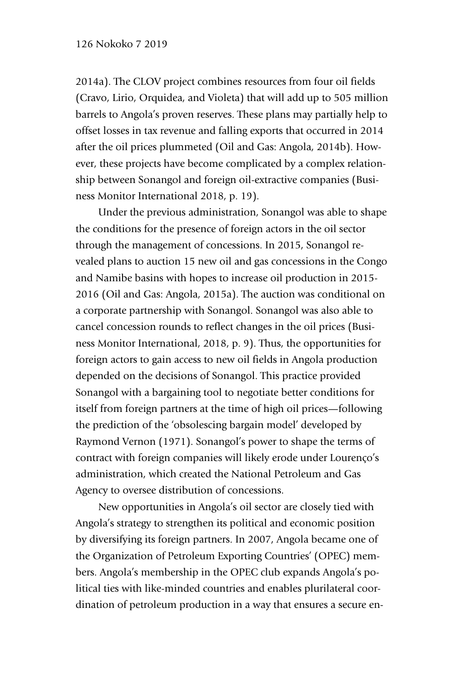2014a). The CLOV project combines resources from four oil fields (Cravo, Lirio, Orquidea, and Violeta) that will add up to 505 million barrels to Angola's proven reserves. These plans may partially help to offset losses in tax revenue and falling exports that occurred in 2014 after the oil prices plummeted (Oil and Gas: Angola, 2014b). However, these projects have become complicated by a complex relationship between Sonangol and foreign oil-extractive companies (Business Monitor International 2018, p. 19).

Under the previous administration, Sonangol was able to shape the conditions for the presence of foreign actors in the oil sector through the management of concessions. In 2015, Sonangol revealed plans to auction 15 new oil and gas concessions in the Congo and Namibe basins with hopes to increase oil production in 2015- 2016 (Oil and Gas: Angola, 2015a). The auction was conditional on a corporate partnership with Sonangol. Sonangol was also able to cancel concession rounds to reflect changes in the oil prices (Business Monitor International, 2018, p. 9). Thus, the opportunities for foreign actors to gain access to new oil fields in Angola production depended on the decisions of Sonangol. This practice provided Sonangol with a bargaining tool to negotiate better conditions for itself from foreign partners at the time of high oil prices—following the prediction of the 'obsolescing bargain model' developed by Raymond Vernon (1971). Sonangol's power to shape the terms of contract with foreign companies will likely erode under Lourenço's administration, which created the National Petroleum and Gas Agency to oversee distribution of concessions.

New opportunities in Angola's oil sector are closely tied with Angola's strategy to strengthen its political and economic position by diversifying its foreign partners. In 2007, Angola became one of the Organization of Petroleum Exporting Countries' (OPEC) members. Angola's membership in the OPEC club expands Angola's political ties with like-minded countries and enables plurilateral coordination of petroleum production in a way that ensures a secure en-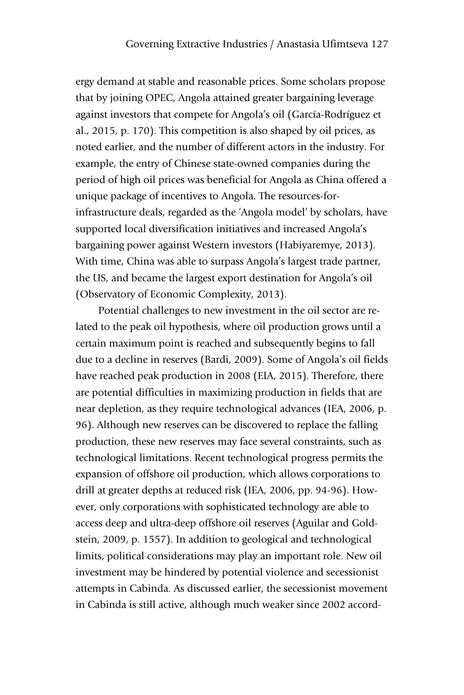ergy demand at stable and reasonable prices. Some scholars propose that by joining OPEC, Angola attained greater bargaining leverage against investors that compete for Angola's oil (García-Rodríguez et al., 2015, p. 170). This competition is also shaped by oil prices, as noted earlier, and the number of different actors in the industry. For example, the entry of Chinese state-owned companies during the period of high oil prices was beneficial for Angola as China offered a unique package of incentives to Angola. The resources-forinfrastructure deals, regarded as the 'Angola model' by scholars, have supported local diversification initiatives and increased Angola's bargaining power against Western investors (Habiyaremye, 2013). With time, China was able to surpass Angola's largest trade partner, the US, and became the largest export destination for Angola's oil (Observatory of Economic Complexity, 2013).

Potential challenges to new investment in the oil sector are related to the peak oil hypothesis, where oil production grows until a certain maximum point is reached and subsequently begins to fall due to a decline in reserves (Bardi, 2009). Some of Angola's oil fields have reached peak production in 2008 (EIA, 2015). Therefore, there are potential difficulties in maximizing production in fields that are near depletion, as they require technological advances (IEA, 2006, p. 96). Although new reserves can be discovered to replace the falling production, these new reserves may face several constraints, such as technological limitations. Recent technological progress permits the expansion of offshore oil production, which allows corporations to drill at greater depths at reduced risk (IEA, 2006, pp. 94-96). However, only corporations with sophisticated technology are able to access deep and ultra-deep offshore oil reserves (Aguilar and Goldstein, 2009, p. 1557). In addition to geological and technological limits, political considerations may play an important role. New oil investment may be hindered by potential violence and secessionist attempts in Cabinda. As discussed earlier, the secessionist movement in Cabinda is still active, although much weaker since 2002 accord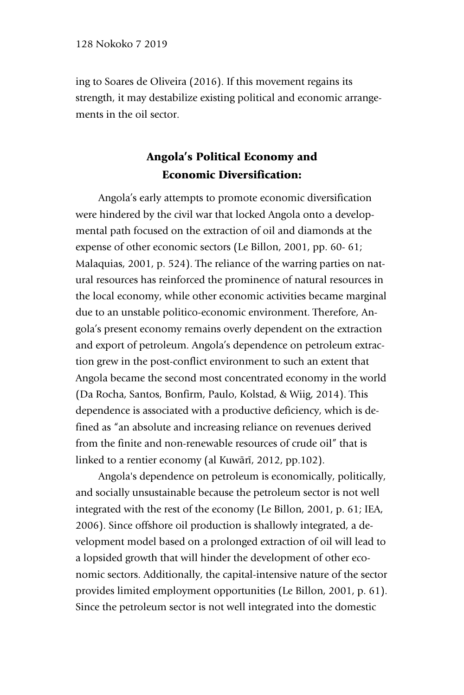ing to Soares de Oliveira (2016). If this movement regains its strength, it may destabilize existing political and economic arrangements in the oil sector.

## Angola's Political Economy and Economic Diversification:

Angola's early attempts to promote economic diversification were hindered by the civil war that locked Angola onto a developmental path focused on the extraction of oil and diamonds at the expense of other economic sectors (Le Billon, 2001, pp. 60- 61; Malaquias, 2001, p. 524). The reliance of the warring parties on natural resources has reinforced the prominence of natural resources in the local economy, while other economic activities became marginal due to an unstable politico-economic environment. Therefore, Angola's present economy remains overly dependent on the extraction and export of petroleum. Angola's dependence on petroleum extraction grew in the post-conflict environment to such an extent that Angola became the second most concentrated economy in the world (Da Rocha, Santos, Bonfirm, Paulo, Kolstad, & Wiig, 2014). This dependence is associated with a productive deficiency, which is defined as "an absolute and increasing reliance on revenues derived from the finite and non-renewable resources of crude oil" that is linked to a rentier economy (al Kuwārī, 2012, pp.102).

Angola's dependence on petroleum is economically, politically, and socially unsustainable because the petroleum sector is not well integrated with the rest of the economy (Le Billon, 2001, p. 61; IEA, 2006). Since offshore oil production is shallowly integrated, a development model based on a prolonged extraction of oil will lead to a lopsided growth that will hinder the development of other economic sectors. Additionally, the capital-intensive nature of the sector provides limited employment opportunities (Le Billon, 2001, p. 61). Since the petroleum sector is not well integrated into the domestic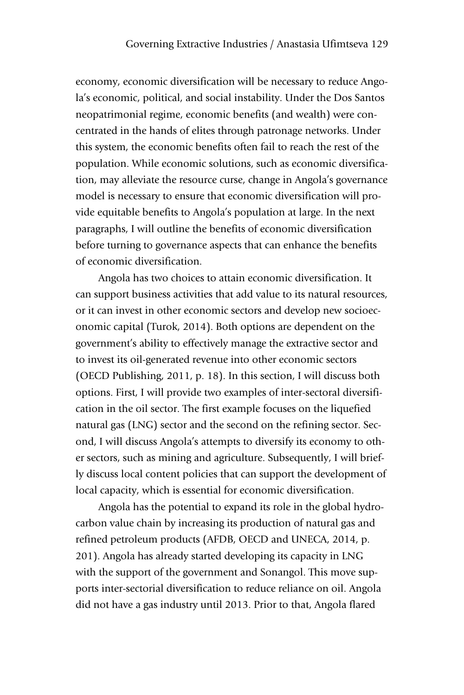economy, economic diversification will be necessary to reduce Angola's economic, political, and social instability. Under the Dos Santos neopatrimonial regime, economic benefits (and wealth) were concentrated in the hands of elites through patronage networks. Under this system, the economic benefits often fail to reach the rest of the population. While economic solutions, such as economic diversification, may alleviate the resource curse, change in Angola's governance model is necessary to ensure that economic diversification will provide equitable benefits to Angola's population at large. In the next paragraphs, I will outline the benefits of economic diversification before turning to governance aspects that can enhance the benefits of economic diversification.

Angola has two choices to attain economic diversification. It can support business activities that add value to its natural resources, or it can invest in other economic sectors and develop new socioeconomic capital (Turok, 2014). Both options are dependent on the government's ability to effectively manage the extractive sector and to invest its oil-generated revenue into other economic sectors (OECD Publishing, 2011, p. 18). In this section, I will discuss both options. First, I will provide two examples of inter-sectoral diversification in the oil sector. The first example focuses on the liquefied natural gas (LNG) sector and the second on the refining sector. Second, I will discuss Angola's attempts to diversify its economy to other sectors, such as mining and agriculture. Subsequently, I will briefly discuss local content policies that can support the development of local capacity, which is essential for economic diversification.

Angola has the potential to expand its role in the global hydrocarbon value chain by increasing its production of natural gas and refined petroleum products (AFDB, OECD and UNECA, 2014, p. 201). Angola has already started developing its capacity in LNG with the support of the government and Sonangol. This move supports inter-sectorial diversification to reduce reliance on oil. Angola did not have a gas industry until 2013. Prior to that, Angola flared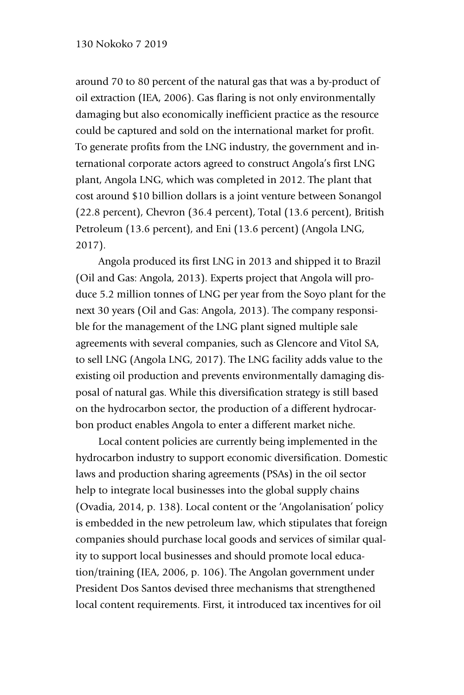around 70 to 80 percent of the natural gas that was a by-product of oil extraction (IEA, 2006). Gas flaring is not only environmentally damaging but also economically inefficient practice as the resource could be captured and sold on the international market for profit. To generate profits from the LNG industry, the government and international corporate actors agreed to construct Angola's first LNG plant, Angola LNG, which was completed in 2012. The plant that cost around \$10 billion dollars is a joint venture between Sonangol (22.8 percent), Chevron (36.4 percent), Total (13.6 percent), British Petroleum (13.6 percent), and Eni (13.6 percent) (Angola LNG, 2017).

Angola produced its first LNG in 2013 and shipped it to Brazil (Oil and Gas: Angola, 2013). Experts project that Angola will produce 5.2 million tonnes of LNG per year from the Soyo plant for the next 30 years (Oil and Gas: Angola, 2013). The company responsible for the management of the LNG plant signed multiple sale agreements with several companies, such as Glencore and Vitol SA, to sell LNG (Angola LNG, 2017). The LNG facility adds value to the existing oil production and prevents environmentally damaging disposal of natural gas. While this diversification strategy is still based on the hydrocarbon sector, the production of a different hydrocarbon product enables Angola to enter a different market niche.

Local content policies are currently being implemented in the hydrocarbon industry to support economic diversification. Domestic laws and production sharing agreements (PSAs) in the oil sector help to integrate local businesses into the global supply chains (Ovadia, 2014, p. 138). Local content or the 'Angolanisation' policy is embedded in the new petroleum law, which stipulates that foreign companies should purchase local goods and services of similar quality to support local businesses and should promote local education/training (IEA, 2006, p. 106). The Angolan government under President Dos Santos devised three mechanisms that strengthened local content requirements. First, it introduced tax incentives for oil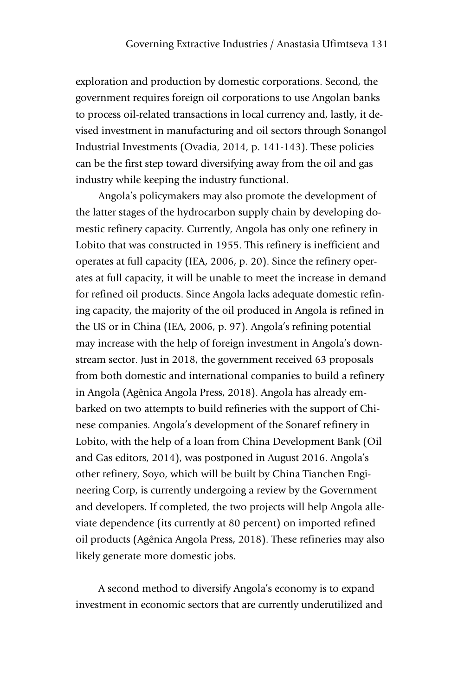exploration and production by domestic corporations. Second, the government requires foreign oil corporations to use Angolan banks to process oil-related transactions in local currency and, lastly, it devised investment in manufacturing and oil sectors through Sonangol Industrial Investments (Ovadia, 2014, p. 141-143). These policies can be the first step toward diversifying away from the oil and gas industry while keeping the industry functional.

Angola's policymakers may also promote the development of the latter stages of the hydrocarbon supply chain by developing domestic refinery capacity. Currently, Angola has only one refinery in Lobito that was constructed in 1955. This refinery is inefficient and operates at full capacity (IEA, 2006, p. 20). Since the refinery operates at full capacity, it will be unable to meet the increase in demand for refined oil products. Since Angola lacks adequate domestic refining capacity, the majority of the oil produced in Angola is refined in the US or in China (IEA, 2006, p. 97). Angola's refining potential may increase with the help of foreign investment in Angola's downstream sector. Just in 2018, the government received 63 proposals from both domestic and international companies to build a refinery in Angola (Agênica Angola Press, 2018). Angola has already embarked on two attempts to build refineries with the support of Chinese companies. Angola's development of the Sonaref refinery in Lobito, with the help of a loan from China Development Bank (Oil and Gas editors, 2014), was postponed in August 2016. Angola's other refinery, Soyo, which will be built by China Tianchen Engineering Corp, is currently undergoing a review by the Government and developers. If completed, the two projects will help Angola alleviate dependence (its currently at 80 percent) on imported refined oil products (Agênica Angola Press, 2018). These refineries may also likely generate more domestic jobs.

A second method to diversify Angola's economy is to expand investment in economic sectors that are currently underutilized and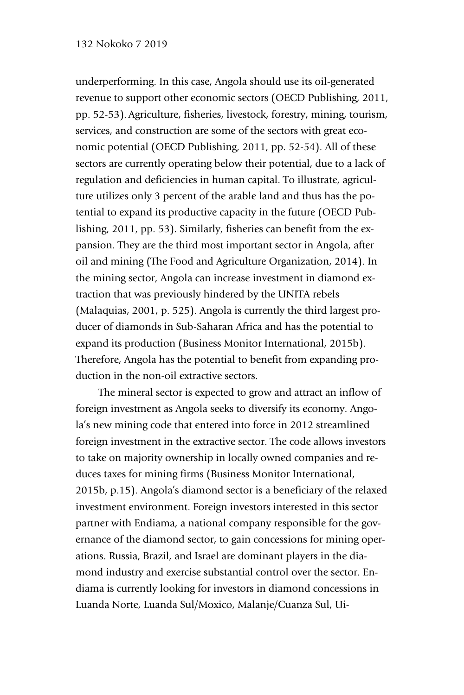underperforming. In this case, Angola should use its oil-generated revenue to support other economic sectors (OECD Publishing, 2011, pp. 52-53).Agriculture, fisheries, livestock, forestry, mining, tourism, services, and construction are some of the sectors with great economic potential (OECD Publishing, 2011, pp. 52-54). All of these sectors are currently operating below their potential, due to a lack of regulation and deficiencies in human capital. To illustrate, agriculture utilizes only 3 percent of the arable land and thus has the potential to expand its productive capacity in the future (OECD Publishing, 2011, pp. 53). Similarly, fisheries can benefit from the expansion. They are the third most important sector in Angola, after oil and mining (The Food and Agriculture Organization, 2014). In the mining sector, Angola can increase investment in diamond extraction that was previously hindered by the UNITA rebels (Malaquias, 2001, p. 525). Angola is currently the third largest producer of diamonds in Sub-Saharan Africa and has the potential to expand its production (Business Monitor International, 2015b). Therefore, Angola has the potential to benefit from expanding production in the non-oil extractive sectors.

The mineral sector is expected to grow and attract an inflow of foreign investment as Angola seeks to diversify its economy. Angola's new mining code that entered into force in 2012 streamlined foreign investment in the extractive sector. The code allows investors to take on majority ownership in locally owned companies and reduces taxes for mining firms (Business Monitor International, 2015b, p.15). Angola's diamond sector is a beneficiary of the relaxed investment environment. Foreign investors interested in this sector partner with Endiama, a national company responsible for the governance of the diamond sector, to gain concessions for mining operations. Russia, Brazil, and Israel are dominant players in the diamond industry and exercise substantial control over the sector. Endiama is currently looking for investors in diamond concessions in Luanda Norte, Luanda Sul/Moxico, Malanje/Cuanza Sul, Ui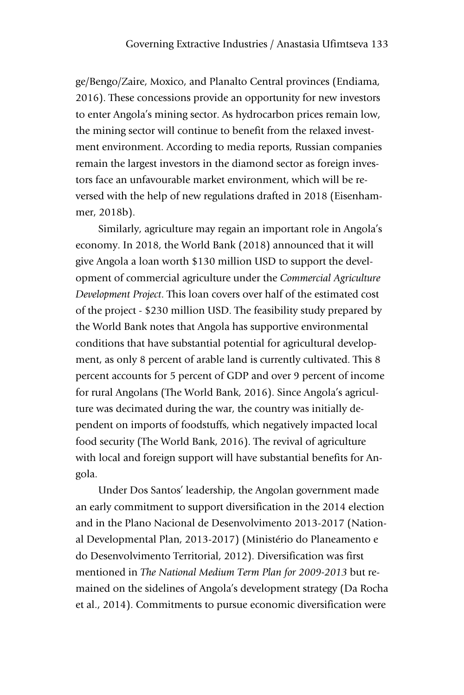ge/Bengo/Zaire, Moxico, and Planalto Central provinces (Endiama, 2016). These concessions provide an opportunity for new investors to enter Angola's mining sector. As hydrocarbon prices remain low, the mining sector will continue to benefit from the relaxed investment environment. According to media reports, Russian companies remain the largest investors in the diamond sector as foreign investors face an unfavourable market environment, which will be reversed with the help of new regulations drafted in 2018 (Eisenhammer, 2018b).

Similarly, agriculture may regain an important role in Angola's economy. In 2018, the World Bank (2018) announced that it will give Angola a loan worth \$130 million USD to support the development of commercial agriculture under the *Commercial Agriculture Development Project*. This loan covers over half of the estimated cost of the project - \$230 million USD. The feasibility study prepared by the World Bank notes that Angola has supportive environmental conditions that have substantial potential for agricultural development, as only 8 percent of arable land is currently cultivated. This 8 percent accounts for 5 percent of GDP and over 9 percent of income for rural Angolans (The World Bank, 2016). Since Angola's agriculture was decimated during the war, the country was initially dependent on imports of foodstuffs, which negatively impacted local food security (The World Bank, 2016). The revival of agriculture with local and foreign support will have substantial benefits for Angola.

Under Dos Santos' leadership, the Angolan government made an early commitment to support diversification in the 2014 election and in the Plano Nacional de Desenvolvimento 2013-2017 (National Developmental Plan, 2013-2017) (Ministério do Planeamento e do Desenvolvimento Territorial, 2012). Diversification was first mentioned in *The National Medium Term Plan for 2009-2013* but remained on the sidelines of Angola's development strategy (Da Rocha et al., 2014). Commitments to pursue economic diversification were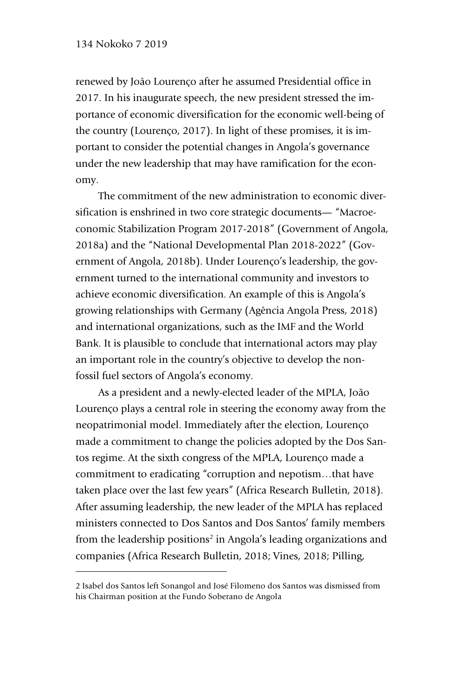-

renewed by Joâo Lourenço after he assumed Presidential office in 2017. In his inaugurate speech, the new president stressed the importance of economic diversification for the economic well-being of the country (Lourenço, 2017). In light of these promises, it is important to consider the potential changes in Angola's governance under the new leadership that may have ramification for the economy.

The commitment of the new administration to economic diversification is enshrined in two core strategic documents— "Macroeconomic Stabilization Program 2017-2018" (Government of Angola, 2018a) and the "National Developmental Plan 2018-2022" (Government of Angola, 2018b). Under Lourenço's leadership, the government turned to the international community and investors to achieve economic diversification. An example of this is Angola's growing relationships with Germany (Agência Angola Press, 2018) and international organizations, such as the IMF and the World Bank. It is plausible to conclude that international actors may play an important role in the country's objective to develop the nonfossil fuel sectors of Angola's economy.

As a president and a newly-elected leader of the MPLA, João Lourenço plays a central role in steering the economy away from the neopatrimonial model. Immediately after the election, Lourenço made a commitment to change the policies adopted by the Dos Santos regime. At the sixth congress of the MPLA, Lourenço made a commitment to eradicating "corruption and nepotism…that have taken place over the last few years" (Africa Research Bulletin, 2018). After assuming leadership, the new leader of the MPLA has replaced ministers connected to Dos Santos and Dos Santos' family members from the leadership positions<sup>2</sup> in Angola's leading organizations and companies (Africa Research Bulletin, 2018; Vines, 2018; Pilling,

<sup>2</sup> Isabel dos Santos left Sonangol and José Filomeno dos Santos was dismissed from his Chairman position at the Fundo Soberano de Angola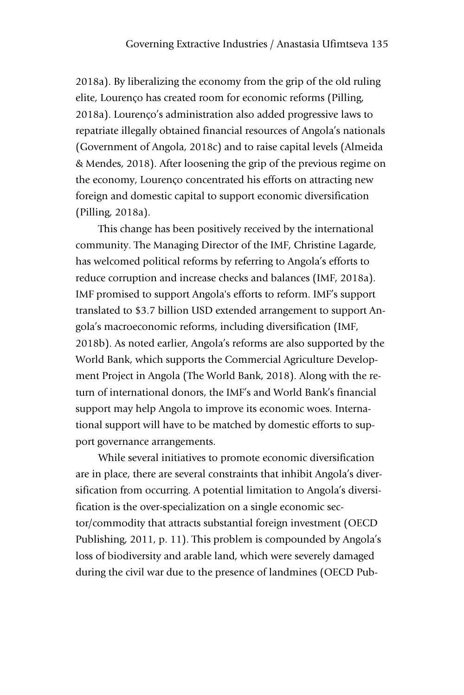2018a). By liberalizing the economy from the grip of the old ruling elite, Lourenço has created room for economic reforms (Pilling, 2018a). Lourenço's administration also added progressive laws to repatriate illegally obtained financial resources of Angola's nationals (Government of Angola, 2018c) and to raise capital levels (Almeida & Mendes, 2018). After loosening the grip of the previous regime on the economy, Lourenço concentrated his efforts on attracting new foreign and domestic capital to support economic diversification (Pilling, 2018a).

This change has been positively received by the international community. The Managing Director of the IMF, Christine Lagarde, has welcomed political reforms by referring to Angola's efforts to reduce corruption and increase checks and balances (IMF, 2018a). IMF promised to support Angola's efforts to reform. IMF's support translated to \$3.7 billion USD extended arrangement to support Angola's macroeconomic reforms, including diversification (IMF, 2018b). As noted earlier, Angola's reforms are also supported by the World Bank, which supports the Commercial Agriculture Development Project in Angola (The World Bank, 2018). Along with the return of international donors, the IMF's and World Bank's financial support may help Angola to improve its economic woes. International support will have to be matched by domestic efforts to support governance arrangements.

While several initiatives to promote economic diversification are in place, there are several constraints that inhibit Angola's diversification from occurring. A potential limitation to Angola's diversification is the over-specialization on a single economic sector/commodity that attracts substantial foreign investment (OECD Publishing, 2011, p. 11). This problem is compounded by Angola's loss of biodiversity and arable land, which were severely damaged during the civil war due to the presence of landmines (OECD Pub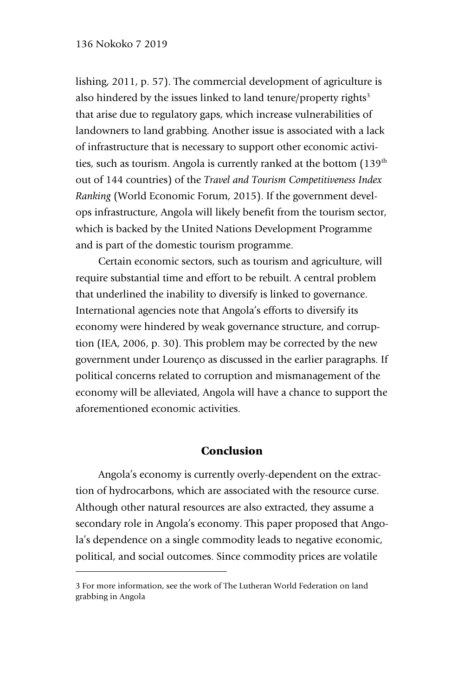lishing, 2011, p. 57). The commercial development of agriculture is also hindered by the issues linked to land tenure/property rights<sup>3</sup> that arise due to regulatory gaps, which increase vulnerabilities of landowners to land grabbing. Another issue is associated with a lack of infrastructure that is necessary to support other economic activities, such as tourism. Angola is currently ranked at the bottom (139<sup>th</sup>) out of 144 countries) of the *Travel and Tourism Competitiveness Index Ranking* (World Economic Forum, 2015). If the government develops infrastructure, Angola will likely benefit from the tourism sector, which is backed by the United Nations Development Programme and is part of the domestic tourism programme.

Certain economic sectors, such as tourism and agriculture, will require substantial time and effort to be rebuilt. A central problem that underlined the inability to diversify is linked to governance. International agencies note that Angola's efforts to diversify its economy were hindered by weak governance structure, and corruption (IEA, 2006, p. 30). This problem may be corrected by the new government under Lourenço as discussed in the earlier paragraphs. If political concerns related to corruption and mismanagement of the economy will be alleviated, Angola will have a chance to support the aforementioned economic activities.

## Conclusion

Angola's economy is currently overly-dependent on the extraction of hydrocarbons, which are associated with the resource curse. Although other natural resources are also extracted, they assume a secondary role in Angola's economy. This paper proposed that Angola's dependence on a single commodity leads to negative economic, political, and social outcomes. Since commodity prices are volatile

-

<sup>3</sup> For more information, see the work of The Lutheran World Federation on land grabbing in Angola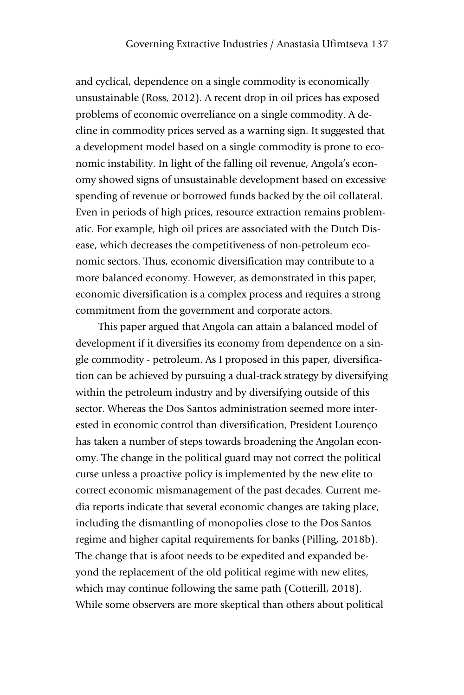and cyclical, dependence on a single commodity is economically unsustainable (Ross, 2012). A recent drop in oil prices has exposed problems of economic overreliance on a single commodity. A decline in commodity prices served as a warning sign. It suggested that a development model based on a single commodity is prone to economic instability. In light of the falling oil revenue, Angola's economy showed signs of unsustainable development based on excessive spending of revenue or borrowed funds backed by the oil collateral. Even in periods of high prices, resource extraction remains problematic. For example, high oil prices are associated with the Dutch Disease, which decreases the competitiveness of non-petroleum economic sectors. Thus, economic diversification may contribute to a more balanced economy. However, as demonstrated in this paper, economic diversification is a complex process and requires a strong commitment from the government and corporate actors.

This paper argued that Angola can attain a balanced model of development if it diversifies its economy from dependence on a single commodity - petroleum. As I proposed in this paper, diversification can be achieved by pursuing a dual-track strategy by diversifying within the petroleum industry and by diversifying outside of this sector. Whereas the Dos Santos administration seemed more interested in economic control than diversification, President Lourenço has taken a number of steps towards broadening the Angolan economy. The change in the political guard may not correct the political curse unless a proactive policy is implemented by the new elite to correct economic mismanagement of the past decades. Current media reports indicate that several economic changes are taking place, including the dismantling of monopolies close to the Dos Santos regime and higher capital requirements for banks (Pilling, 2018b). The change that is afoot needs to be expedited and expanded beyond the replacement of the old political regime with new elites, which may continue following the same path (Cotterill, 2018). While some observers are more skeptical than others about political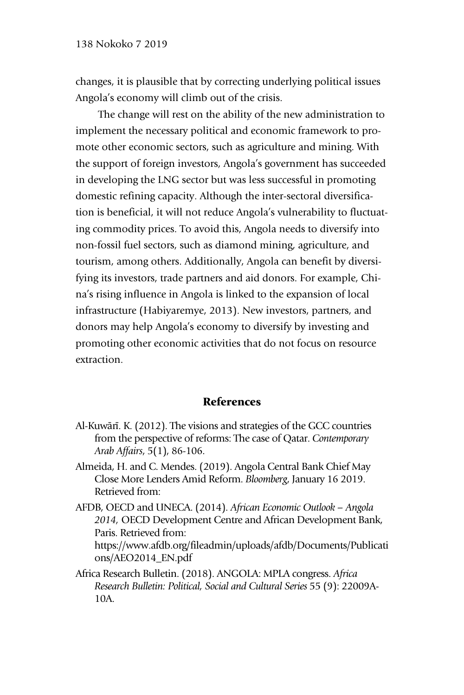changes, it is plausible that by correcting underlying political issues Angola's economy will climb out of the crisis.

The change will rest on the ability of the new administration to implement the necessary political and economic framework to promote other economic sectors, such as agriculture and mining. With the support of foreign investors, Angola's government has succeeded in developing the LNG sector but was less successful in promoting domestic refining capacity. Although the inter-sectoral diversification is beneficial, it will not reduce Angola's vulnerability to fluctuating commodity prices. To avoid this, Angola needs to diversify into non-fossil fuel sectors, such as diamond mining, agriculture, and tourism, among others. Additionally, Angola can benefit by diversifying its investors, trade partners and aid donors. For example, China's rising influence in Angola is linked to the expansion of local infrastructure (Habiyaremye, 2013). New investors, partners, and donors may help Angola's economy to diversify by investing and promoting other economic activities that do not focus on resource extraction.

### References

- Al-Kuwārī. K. (2012). The visions and strategies of the GCC countries from the perspective of reforms: The case of Qatar. *Contemporary Arab Affairs*, 5(1), 86-106.
- Almeida, H. and C. Mendes. (2019). Angola Central Bank Chief May Close More Lenders Amid Reform. *Bloomberg*, January 16 2019. Retrieved from:
- AFDB, OECD and UNECA. (2014). *African Economic Outlook – Angola 2014,* OECD Development Centre and African Development Bank, Paris. Retrieved from: https://www.afdb.org/fileadmin/uploads/afdb/Documents/Publicati ons/AEO2014\_EN.pdf
- Africa Research Bulletin. (2018). ANGOLA: MPLA congress. *Africa Research Bulletin: Political, Social and Cultural Series* 55 (9): 22009A-10A.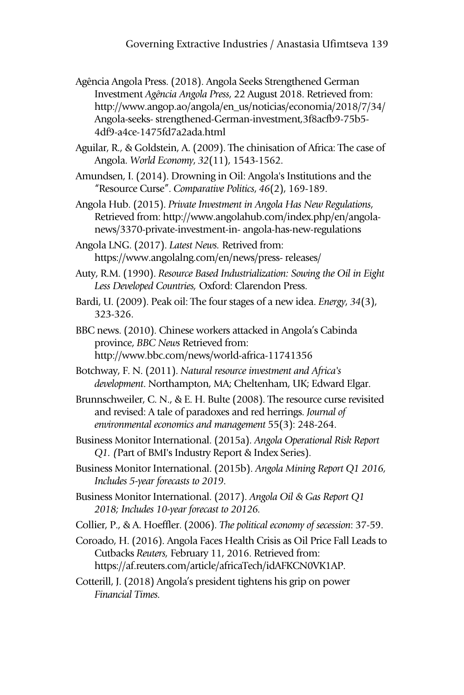Agência Angola Press. (2018). Angola Seeks Strengthened German Investment *Agência Angola Press*, 22 August 2018. Retrieved from: http://www.angop.ao/angola/en\_us/noticias/economia/2018/7/34/ Angola-seeks- strengthened-German-investment,3f8acfb9-75b5- 4df9-a4ce-1475fd7a2ada.html

Aguilar, R., & Goldstein, A. (2009). The chinisation of Africa: The case of Angola. *World Economy*, *32*(11), 1543-1562.

Amundsen, I. (2014). Drowning in Oil: Angola's Institutions and the "Resource Curse". *Comparative Politics*, *46*(2), 169-189.

Angola Hub. (2015). *Private Investment in Angola Has New Regulations*, Retrieved from: http://www.angolahub.com/index.php/en/angolanews/3370-private-investment-in- angola-has-new-regulations

Angola LNG. (2017). *Latest News.* Retrived from: https://www.angolalng.com/en/news/press- releases/

Auty, R.M. (1990). *Resource Based Industrialization: Sowing the Oil in Eight Less Developed Countries,* Oxford: Clarendon Press.

Bardi, U. (2009). Peak oil: The four stages of a new idea. *Energy*, *34*(3), 323-326.

BBC news. (2010). Chinese workers attacked in Angola's Cabinda province, *BBC News* Retrieved from: http://www.bbc.com/news/world-africa-11741356

Botchway, F. N. (2011). *Natural resource investment and Africa's development*. Northampton, MA; Cheltenham, UK; Edward Elgar.

Brunnschweiler, C. N., & E. H. Bulte (2008). The resource curse revisited and revised: A tale of paradoxes and red herrings. *Journal of environmental economics and management* 55(3): 248-264.

Business Monitor International. (2015a). *Angola Operational Risk Report Q1. (*Part of BMI's Industry Report & Index Series).

Business Monitor International. (2015b). *Angola Mining Report Q1 2016, Includes 5 -year forecasts to 2019*.

Business Monitor International. (2017). *Angola Oil & Gas Report Q1 2018 ; Includes 10-year forecast to 20126.*

Collier, P., & A. Hoeffler. (2006). *The political economy of secession*: 37-59.

Coroado, H. (2016). Angola Faces Health Crisis as Oil Price Fall Leads to Cutbacks *Reuters,* February 11, 2016. Retrieved from: https://af.reuters.com/article/africaTech/idAFKCN0VK1AP.

Cotterill, J. (2018) Angola's president tightens his grip on power *Financial Times.*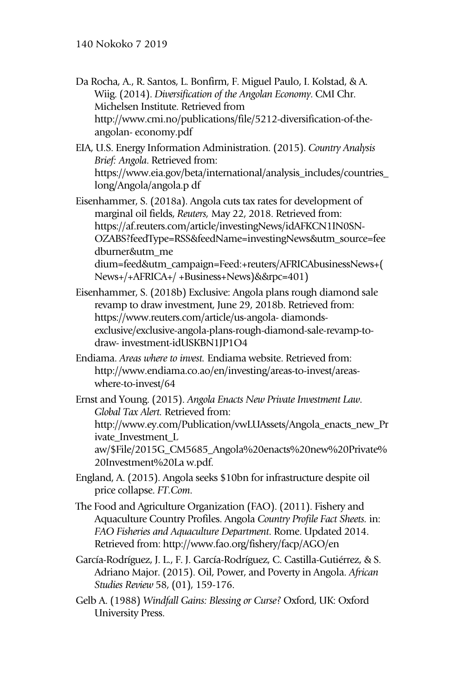- Da Rocha, A., R. Santos, L. Bonfirm, F. Miguel Paulo, I. Kolstad, & A. Wiig. (2014). *Diversification of the Angolan Economy*. CMI Chr. Michelsen Institute. Retrieved from http://www.cmi.no/publications/file/5212-diversification-of-theangolan- economy.pdf
- EIA, U.S. Energy Information Administration. (2015). *Country Analysis Brief: Angola*. Retrieved from: https://www.eia.gov/beta/international/analysis\_includes/countries\_ long/Angola/angola.p df
- Eisenhammer, S. (2018a). Angola cuts tax rates for development of marginal oil fields, *Reuters,* May 22, 2018. Retrieved from: https://af.reuters.com/article/investingNews/idAFKCN1IN0SN-OZABS?feedType=RSS&feedName=investingNews&utm\_source=fee dburner&utm\_me dium=feed&utm\_campaign=Feed:+reuters/AFRICAbusinessNews+( News+/+AFRICA+/ +Business+News)&&rpc=401)
- Eisenhammer, S. (2018b) Exclusive: Angola plans rough diamond sale revamp to draw investment, June 29, 2018b. Retrieved from: https://www.reuters.com/article/us-angola- diamondsexclusive/exclusive-angola-plans-rough-diamond-sale-revamp-todraw- investment-idUSKBN1JP1O4
- Endiama. *Areas where to invest.* Endiama website. Retrieved from: http://www.endiama.co.ao/en/investing/areas-to-invest/areaswhere-to-invest/64
- Ernst and Young. (2015). *Angola Enacts New Private Investment Law*. *Global Tax Alert.* Retrieved from: http://www.ey.com/Publication/vwLUAssets/Angola\_enacts\_new\_Pr ivate Investment L aw/\$File/2015G\_CM5685\_Angola%20enacts%20new%20Private% 20Investment%20La w.pdf.
- England, A. (2015). Angola seeks \$10bn for infrastructure despite oil price collapse. *FT.Com*.
- The Food and Agriculture Organization (FAO). (2011). Fishery and Aquaculture Country Profiles. Angola *Country Profile Fact Sheets.* in: *FAO Fisheries and Aquaculture Department*. Rome. Updated 2014. Retrieved from: http://www.fao.org/fishery/facp/AGO/en
- García-Rodríguez, J. L., F. J. García-Rodríguez, C. Castilla-Gutiérrez, & S. Adriano Major. (2015). Oil, Power, and Poverty in Angola. *African Studies Review* 58, (01), 159-176.
- Gelb A. (1988) *Windfall Gains: Blessing or Curse?* Oxford, UK: Oxford University Press.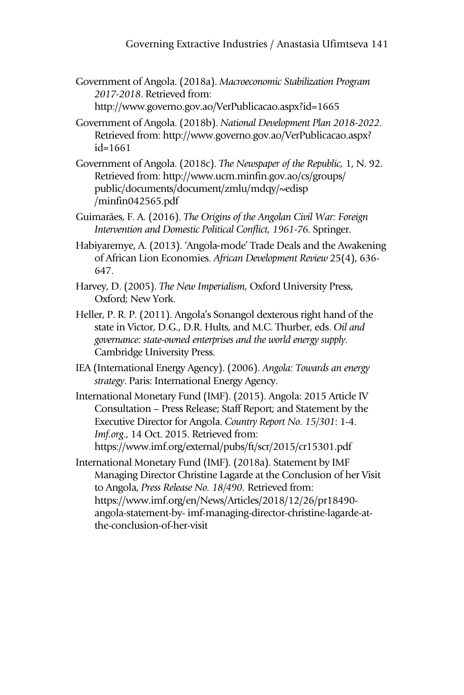- Government of Angola. (2018a). *Macroeconomic Stabilization Program 2017 -2018* . Retrieved from: http://www.governo.gov.ao/VerPublicacao.aspx?id=1665
- Government of Angola. (2018b). *National Development Plan 2018 -2022*. Retrieved from: http://www.governo.gov.ao/VerPublicacao.aspx? id=1661
- Government of Angola. (2018c). *The Newspaper of the Republic,* 1, N. 92. Retrieved from: http://www.ucm.minfin.gov.ao/cs/groups/ public/documents/document/zmlu/mdqy/~edisp /minfin042565.pdf
- Guimarães, F. A. (2016). *The Origins of the Angolan Civil War: Foreign Intervention and Domestic Political Conflict, 1961-76. Springer.*
- Habiyaremye, A. (2013). 'Angola-mode' Trade Deals and the Awakening of African Lion Economies. *African Development Review* 25(4), 636- 647.
- Harvey, D. (2005). *The New Imperialism*, Oxford University Press, Oxford; New York.
- Heller, P. R. P. (2011). Angola's Sonangol dexterous right hand of the state in Victor, D.G., D.R. Hults, and M.C. Thurber, eds. *Oil and governance: state-owned enterprises and the world energy supply*. Cambridge University Press.
- IEA (International Energy Agency). (2006). *Angola: Towards an energy strategy*. Paris: International Energy Agency.
- International Monetary Fund (IMF). (2015). Angola: 2015 Article IV Consultation – Press Release; Staff Report; and Statement by the Executive Director for Angola. *Country Report No. 15 /301*: 1-4. *Imf.org*., 14 Oct. 2015. Retrieved from: https://www.imf.org/external/pubs/ft/scr/2015/cr15301.pdf
- International Monetary Fund (IMF). (2018a). Statement by IMF Managing Director Christine Lagarde at the Conclusion of her Visit to Angola, *Press Release No. 18 /490.* Retrieved from: https://www.imf.org/en/News/Articles/2018/12/26/pr18490 angola-statement-by- imf-managing-director-christine-lagarde-atthe-conclusion-of-her-visit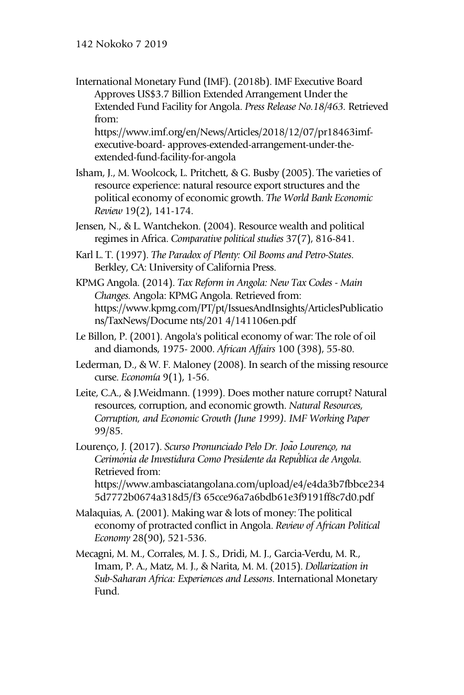International Monetary Fund (IMF). (2018b). IMF Executive Board Approves US\$3.7 Billion Extended Arrangement Under the Extended Fund Facility for Angola. *Press Release No.18 /463.* Retrieved from: https://www.imf.org/en/News/Articles/2018/12/07/pr18463imf-

executive-board- approves-extended-arrangement-under-theextended-fund-facility-for-angola

- Isham, J., M. Woolcock, L. Pritchett, & G. Busby (2005). The varieties of resource experience: natural resource export structures and the political economy of economic growth. *The World Bank Economic Review* 19(2), 141-174.
- Jensen, N., & L. Wantchekon. (2004). Resource wealth and political regimes in Africa. *Comparative political studies* 37(7), 816-841.
- Karl L. T. (1997). *The Paradox of Plenty: Oil Booms and Petro-States*. Berkley, CA: University of California Press.
- KPMG Angola. (2014). *Tax Reform in Angola: New Tax Codes - Main Changes.* Angola: KPMG Angola. Retrieved from: https://www.kpmg.com/PT/pt/IssuesAndInsights/ArticlesPublicatio ns/TaxNews/Docume nts/201 4/141106en.pdf
- Le Billon, P. (2001). Angola's political economy of war: The role of oil and diamonds, 1975- 2000. *African Affairs* 100 (398), 55-80.
- Lederman, D., & W. F. Maloney (2008). In search of the missing resource curse. *Economía* 9(1), 1-56.
- Leite, C.A., & J.Weidmann. (1999). Does mother nature corrupt? Natural resources, corruption, and economic growth. *Natural Resources, Corruption, and Economic Growth (June 1999). IMF Working Paper* 99/85.
- Lourenço, J. (2017). *Scurso Pronunciado Pelo Dr. João Lourenço, na Cerimónia de Investidura Como Presidente da República de Angola.*  Retrieved from: https://www.ambasciatangolana.com/upload/e4/e4da3b7fbbce234
	- 5d7772b0674a318d5/f3 65cce96a7a6bdb61e3f9191ff8c7d0.pdf
- Malaquias, A. (2001). Making war & lots of money: The political economy of protracted conflict in Angola. *Review of African Political Economy* 28(90), 521-536.
- Mecagni, M. M., Corrales, M. J. S., Dridi, M. J., Garcia-Verdu, M. R., Imam, P. A., Matz, M. J., & Narita, M. M. (2015). *Dollarization in Sub-Saharan Africa: Experiences and Lessons*. International Monetary Fund.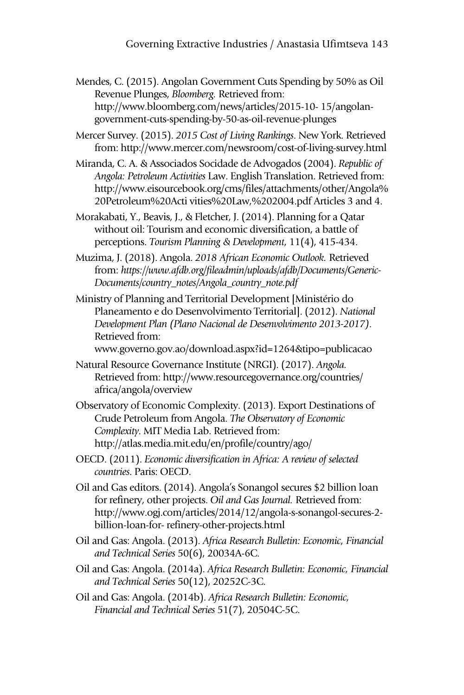Mendes, C. (2015). Angolan Government Cuts Spending by 50% as Oil Revenue Plunges, *Bloomberg.* Retrieved from: http://www.bloomberg.com/news/articles/2015-10- 15/angolangovernment-cuts-spending-by-50-as-oil-revenue-plunges

Mercer Survey. (2015). *2015 Cost of Living Rankings*. New York. Retrieved from: http://www.mercer.com/newsroom/cost-of-living-survey.html

Miranda, C. A. & Associados Socidade de Advogados (2004). *Republic of Angola: Petroleum Activities* Law. English Translation. Retrieved from: http://www.eisourcebook.org/cms/files/attachments/other/Angola% 20Petroleum%20Acti vities%20Law,%202004.pdf Articles 3 and 4.

Morakabati, Y., Beavis, J., & Fletcher, J. (2014). Planning for a Qatar without oil: Tourism and economic diversification, a battle of perceptions. *Tourism Planning & Development*, 11(4), 415-434.

- Muzima, J. (2018). Angola. *2018 African Economic Outlook.* Retrieved from: *https://www.afdb.org/fileadmin/uploads/afdb/Documents/Generic-Documents/country\_notes/Angola\_country\_note.pdf*
- Ministry of Planning and Territorial Development [Ministério do Planeamento e do Desenvolvimento Territorial]. (2012). *National Development Plan (Plano Nacional de Desenvolvimento 2013-2017 )*. Retrieved from:

www.governo.gov.ao/download.aspx?id=1264&tipo=publicacao

- Natural Resource Governance Institute (NRGI). (2017). *Angola.*  Retrieved from: http://www.resourcegovernance.org/countries/ africa/angola/overview
- Observatory of Economic Complexity. (2013). Export Destinations of Crude Petroleum from Angola. *The Observatory of Economic Complexity*. MIT Media Lab. Retrieved from: http://atlas.media.mit.edu/en/profile/country/ago/
- OECD. (2011). *Economic diversification in Africa: A review of selected countries*. Paris: OECD.
- Oil and Gas editors. (2014). Angola's Sonangol secures \$2 billion loan for refinery, other projects. *Oil and Gas Journal.* Retrieved from: http://www.ogj.com/articles/2014/12/angola-s-sonangol-secures-2 billion-loan-for- refinery-other-projects.html
- Oil and Gas: Angola. (2013). *Africa Research Bulletin: Economic, Financial and Technical Series* 50(6), 20034A-6C.
- Oil and Gas: Angola. (2014a). *Africa Research Bulletin: Economic, Financial and Technical Series* 50(12), 20252C-3C.
- Oil and Gas: Angola. (2014b). *Africa Research Bulletin: Economic, Financial and Technical Series* 51(7), 20504C-5C.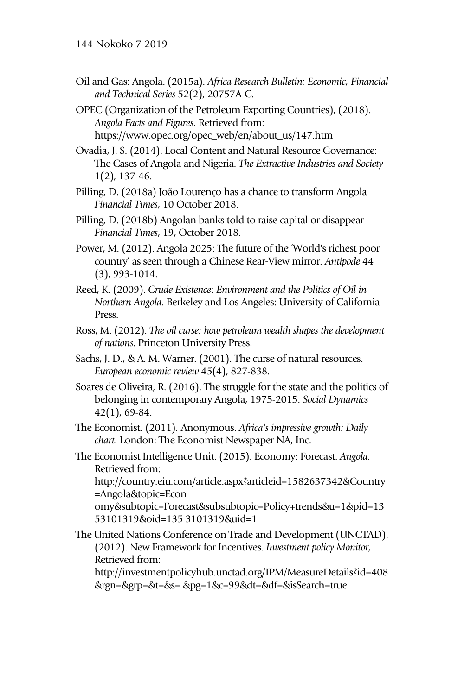- Oil and Gas: Angola. (2015a). *Africa Research Bulletin: Economic, Financial and Technical Series* 52(2), 20757A-C.
- OPEC (Organization of the Petroleum Exporting Countries), (2018). *Angola Facts and Figures*. Retrieved from: https://www.opec.org/opec\_web/en/about\_us/147.htm
- Ovadia, J. S. (2014). Local Content and Natural Resource Governance: The Cases of Angola and Nigeria. *The Extractive Industries and Society* 1(2), 137-46.
- Pilling, D. (2018a) João Lourenço has a chance to transform Angola *Financial Times*, 10 October 2018.
- Pilling, D. (2018b) Angolan banks told to raise capital or disappear *Financial Times*, 19, October 2018.
- Power, M. (2012). Angola 2025: The future of the 'World's richest poor country' as seen through a Chinese Rear-View mirror. *Antipode* 44 (3), 993-1014.
- Reed, K. (2009). *Crude Existence: Environment and the Politics of Oil in Northern Angola*. Berkeley and Los Angeles: University of California Press.
- Ross, M. (2012). *The oil curse: how petroleum wealth shapes the development of nations*. Princeton University Press.
- Sachs, J. D., & A. M. Warner. (2001). The curse of natural resources. *European economic review* 45(4), 827-838.
- Soares de Oliveira, R. (2016). The struggle for the state and the politics of belonging in contemporary Angola, 1975-2015. *Social Dynamics* 42(1), 69-84.
- The Economist*.* (2011)*.* Anonymous. *Africa's impressive growth: Daily chart*. London: The Economist Newspaper NA, Inc.

The Economist Intelligence Unit. (2015). Economy: Forecast. *Angola.*  Retrieved from: http://country.eiu.com/article.aspx?articleid=1582637342&Country =Angola&topic=Econ omy&subtopic=Forecast&subsubtopic=Policy+trends&u=1&pid=13 53101319&oid=135 3101319&uid=1

The United Nations Conference on Trade and Development (UNCTAD). (2012). New Framework for Incentives. *Investment policy Monitor,*  Retrieved from:

http://investmentpolicyhub.unctad.org/IPM/MeasureDetails?id=408 &rgn=&grp=&t=&s= &pg=1&c=99&dt=&df=&isSearch=true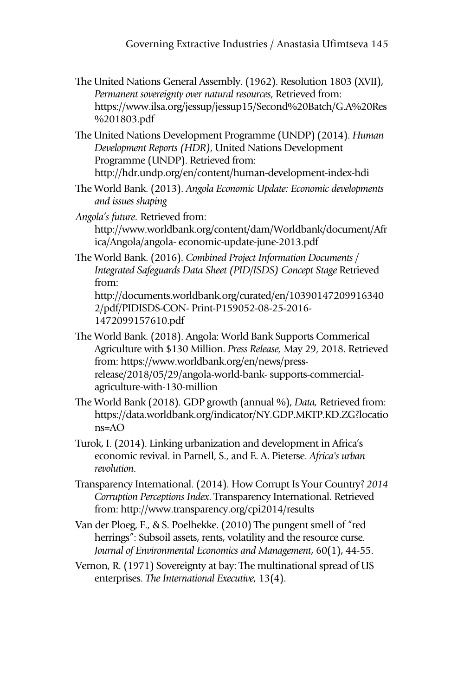- The United Nations General Assembly. (1962). Resolution 1803 (XVII), *Permanent sovereignty over natural resources*, Retrieved from: https://www.ilsa.org/jessup/jessup15/Second%20Batch/G.A%20Res %201803.pdf
- The United Nations Development Programme (UNDP) (2014). *Human Development Reports (HDR)*, United Nations Development Programme (UNDP). Retrieved from: http://hdr.undp.org/en/content/human-development-index-hdi
- The World Bank. (2013). *Angola Economic Update: Economic developments and issues shaping*
- *Angola's future.* Retrieved from: http://www.worldbank.org/content/dam/Worldbank/document/Afr ica/Angola/angola- economic-update-june-2013.pdf
- The World Bank. (2016). *Combined Project Information Documents / Integrated Safeguards Data Sheet (PID/ISDS) Concept Stage* Retrieved from: http://documents.worldbank.org/curated/en/10390147209916340 2/pdf/PIDISDS-CON- Print-P159052-08-25-2016- 1472099157610.pdf
- The World Bank. (2018). Angola: World Bank Supports Commerical Agriculture with \$130 Million. *Press Release,* May 29, 2018. Retrieved from: https://www.worldbank.org/en/news/pressrelease/2018/05/29/angola-world-bank- supports-commercialagriculture-with-130-million
- The World Bank (2018). GDP growth (annual %), *Data,* Retrieved from: https://data.worldbank.org/indicator/NY.GDP.MKTP.KD.ZG?locatio ns=AO
- Turok, I. (2014). Linking urbanization and development in Africa's economic revival. in Parnell, S., and E. A. Pieterse. *Africa's urban revolution*.
- Transparency International. (2014). How Corrupt Is Your Country? *2014 Corruption Perceptions Index*. Transparency International. Retrieved from: http://www.transparency.org/cpi2014/results
- Van der Ploeg, F., & S. Poelhekke. (2010) The pungent smell of "red herrings": Subsoil assets, rents, volatility and the resource curse. *Journal of Environmental Economics and Management*, 60(1), 44-55.
- Vernon, R. (1971) Sovereignty at bay: The multinational spread of US enterprises. *The International Executive,* 13(4).